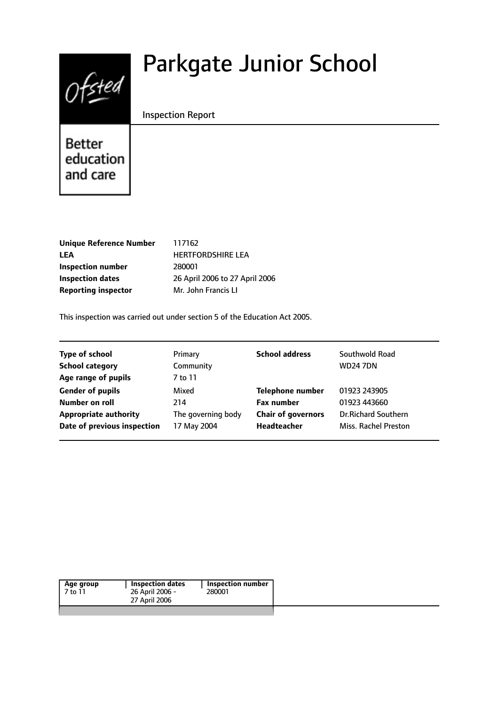# $0$ fsted

# Parkgate Junior School

Inspection Report

**Better** education and care

| <b>Unique Reference Number</b> |
|--------------------------------|
| LEA                            |
| <b>Inspection number</b>       |
| Inspection dates               |
| <b>Reporting inspector</b>     |

**Unique Reference Number** 117162 **LEA** HERTFORDSHIRE LEA **Inspection number** 280001 **Inspection dates** 26 April 2006 to 27 April 2006 **Mr. John Francis LI** 

This inspection was carried out under section 5 of the Education Act 2005.

| <b>Type of school</b>        | Primary            | <b>School address</b>     | Southwold Road             |
|------------------------------|--------------------|---------------------------|----------------------------|
| <b>School category</b>       | Community          |                           | <b>WD247DN</b>             |
| Age range of pupils          | 7 to 11            |                           |                            |
| <b>Gender of pupils</b>      | Mixed              | <b>Telephone number</b>   | 01923 243905               |
| Number on roll               | 214                | <b>Fax number</b>         | 01923 443660               |
| <b>Appropriate authority</b> | The governing body | <b>Chair of governors</b> | <b>Dr.Richard Southern</b> |
| Date of previous inspection  | 17 May 2004        | Headteacher               | Miss. Rachel Preston       |

| 26 April 2006 -<br>7 to 11<br>280001 | <b>Inspection number</b> | <b>Inspection dates</b> | Age group |
|--------------------------------------|--------------------------|-------------------------|-----------|
|                                      |                          |                         |           |
|                                      |                          | 27 April 2006           |           |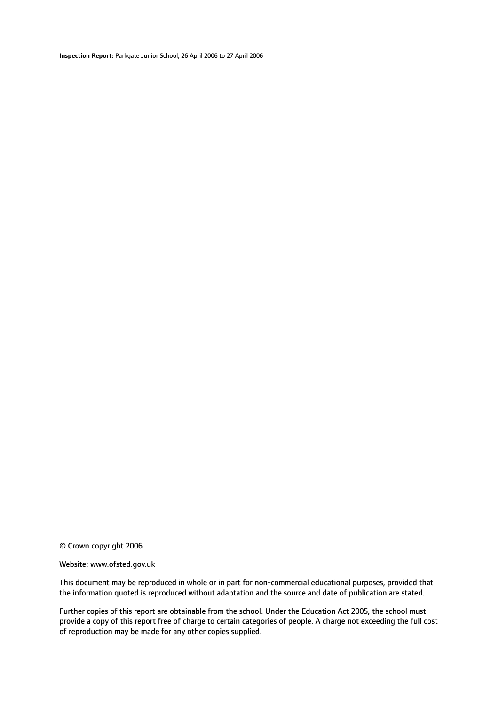© Crown copyright 2006

#### Website: www.ofsted.gov.uk

This document may be reproduced in whole or in part for non-commercial educational purposes, provided that the information quoted is reproduced without adaptation and the source and date of publication are stated.

Further copies of this report are obtainable from the school. Under the Education Act 2005, the school must provide a copy of this report free of charge to certain categories of people. A charge not exceeding the full cost of reproduction may be made for any other copies supplied.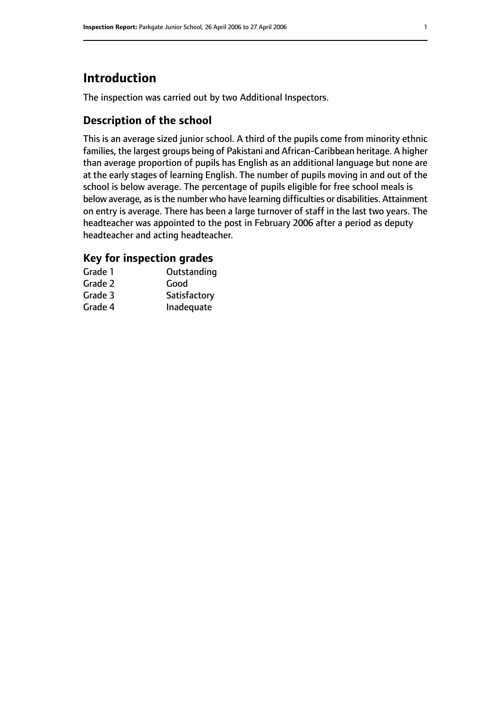# **Introduction**

The inspection was carried out by two Additional Inspectors.

#### **Description of the school**

This is an average sized junior school. A third of the pupils come from minority ethnic families, the largest groups being of Pakistani and African-Caribbean heritage. A higher than average proportion of pupils has English as an additional language but none are at the early stages of learning English. The number of pupils moving in and out of the school is below average. The percentage of pupils eligible for free school meals is below average, as is the number who have learning difficulties or disabilities. Attainment on entry is average. There has been a large turnover of staff in the last two years. The headteacher was appointed to the post in February 2006 after a period as deputy headteacher and acting headteacher.

#### **Key for inspection grades**

| Grade 1 | Outstanding  |
|---------|--------------|
| Grade 2 | Good         |
| Grade 3 | Satisfactory |
| Grade 4 | Inadequate   |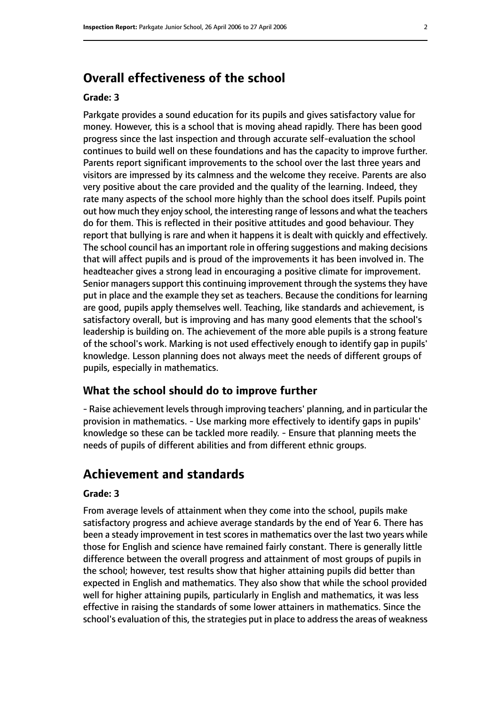## **Overall effectiveness of the school**

#### **Grade: 3**

Parkgate provides a sound education for its pupils and gives satisfactory value for money. However, this is a school that is moving ahead rapidly. There has been good progress since the last inspection and through accurate self-evaluation the school continues to build well on these foundations and has the capacity to improve further. Parents report significant improvements to the school over the last three years and visitors are impressed by its calmness and the welcome they receive. Parents are also very positive about the care provided and the quality of the learning. Indeed, they rate many aspects of the school more highly than the school does itself. Pupils point out how much they enjoy school, the interesting range of lessons and what the teachers do for them. This is reflected in their positive attitudes and good behaviour. They report that bullying is rare and when it happens it is dealt with quickly and effectively. The school council has an important role in offering suggestions and making decisions that will affect pupils and is proud of the improvements it has been involved in. The headteacher gives a strong lead in encouraging a positive climate for improvement. Senior managers support this continuing improvement through the systems they have put in place and the example they set as teachers. Because the conditions for learning are good, pupils apply themselves well. Teaching, like standards and achievement, is satisfactory overall, but is improving and has many good elements that the school's leadership is building on. The achievement of the more able pupils is a strong feature of the school's work. Marking is not used effectively enough to identify gap in pupils' knowledge. Lesson planning does not always meet the needs of different groups of pupils, especially in mathematics.

#### **What the school should do to improve further**

- Raise achievement levels through improving teachers' planning, and in particular the provision in mathematics. - Use marking more effectively to identify gaps in pupils' knowledge so these can be tackled more readily. - Ensure that planning meets the needs of pupils of different abilities and from different ethnic groups.

### **Achievement and standards**

#### **Grade: 3**

From average levels of attainment when they come into the school, pupils make satisfactory progress and achieve average standards by the end of Year 6. There has been a steady improvement in test scores in mathematics over the last two years while those for English and science have remained fairly constant. There is generally little difference between the overall progress and attainment of most groups of pupils in the school; however, test results show that higher attaining pupils did better than expected in English and mathematics. They also show that while the school provided well for higher attaining pupils, particularly in English and mathematics, it was less effective in raising the standards of some lower attainers in mathematics. Since the school's evaluation of this, the strategies put in place to address the areas of weakness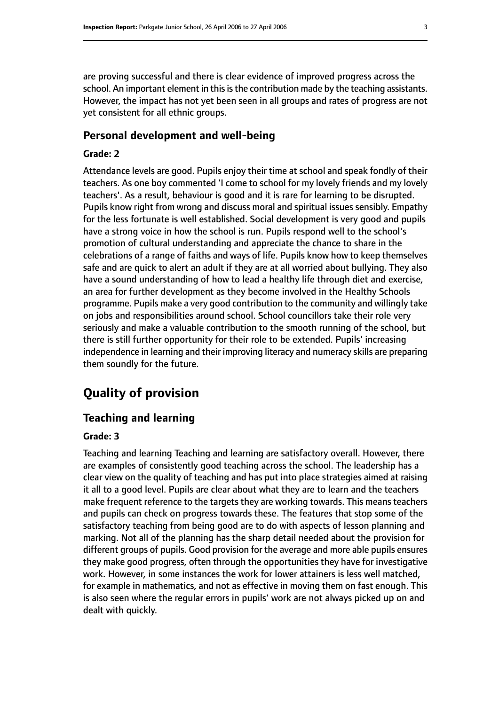are proving successful and there is clear evidence of improved progress across the school. An important element in this is the contribution made by the teaching assistants. However, the impact has not yet been seen in all groups and rates of progress are not yet consistent for all ethnic groups.

#### **Personal development and well-being**

#### **Grade: 2**

Attendance levels are good. Pupils enjoy their time at school and speak fondly of their teachers. As one boy commented 'I come to school for my lovely friends and my lovely teachers'. As a result, behaviour is good and it is rare for learning to be disrupted. Pupils know right from wrong and discuss moral and spiritual issues sensibly. Empathy for the less fortunate is well established. Social development is very good and pupils have a strong voice in how the school is run. Pupils respond well to the school's promotion of cultural understanding and appreciate the chance to share in the celebrations of a range of faiths and ways of life. Pupils know how to keep themselves safe and are quick to alert an adult if they are at all worried about bullying. They also have a sound understanding of how to lead a healthy life through diet and exercise, an area for further development as they become involved in the Healthy Schools programme. Pupils make a very good contribution to the community and willingly take on jobs and responsibilities around school. School councillors take their role very seriously and make a valuable contribution to the smooth running of the school, but there is still further opportunity for their role to be extended. Pupils' increasing independence in learning and their improving literacy and numeracy skills are preparing them soundly for the future.

# **Quality of provision**

#### **Teaching and learning**

#### **Grade: 3**

Teaching and learning Teaching and learning are satisfactory overall. However, there are examples of consistently good teaching across the school. The leadership has a clear view on the quality of teaching and has put into place strategies aimed at raising it all to a good level. Pupils are clear about what they are to learn and the teachers make frequent reference to the targets they are working towards. This means teachers and pupils can check on progress towards these. The features that stop some of the satisfactory teaching from being good are to do with aspects of lesson planning and marking. Not all of the planning has the sharp detail needed about the provision for different groups of pupils. Good provision for the average and more able pupils ensures they make good progress, often through the opportunities they have for investigative work. However, in some instances the work for lower attainers is less well matched, for example in mathematics, and not as effective in moving them on fast enough. This is also seen where the regular errors in pupils' work are not always picked up on and dealt with quickly.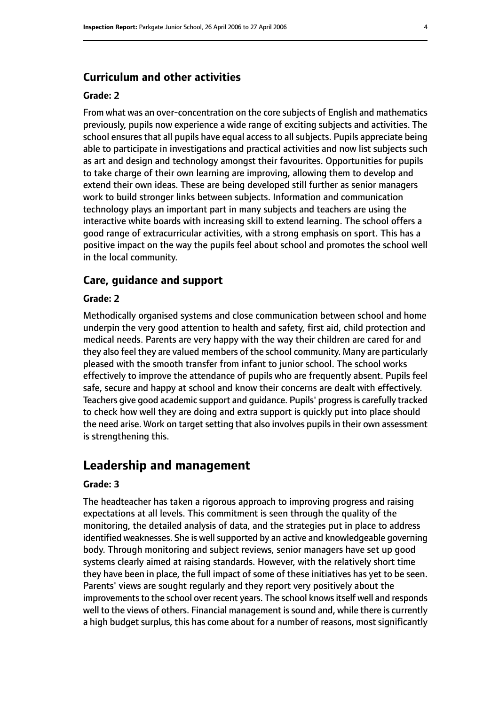#### **Curriculum and other activities**

#### **Grade: 2**

From what was an over-concentration on the core subjects of English and mathematics previously, pupils now experience a wide range of exciting subjects and activities. The school ensures that all pupils have equal access to all subjects. Pupils appreciate being able to participate in investigations and practical activities and now list subjects such as art and design and technology amongst their favourites. Opportunities for pupils to take charge of their own learning are improving, allowing them to develop and extend their own ideas. These are being developed still further as senior managers work to build stronger links between subjects. Information and communication technology plays an important part in many subjects and teachers are using the interactive white boards with increasing skill to extend learning. The school offers a good range of extracurricular activities, with a strong emphasis on sport. This has a positive impact on the way the pupils feel about school and promotes the school well in the local community.

#### **Care, guidance and support**

#### **Grade: 2**

Methodically organised systems and close communication between school and home underpin the very good attention to health and safety, first aid, child protection and medical needs. Parents are very happy with the way their children are cared for and they also feel they are valued members of the school community. Many are particularly pleased with the smooth transfer from infant to junior school. The school works effectively to improve the attendance of pupils who are frequently absent. Pupils feel safe, secure and happy at school and know their concerns are dealt with effectively. Teachers give good academic support and guidance. Pupils' progressis carefully tracked to check how well they are doing and extra support is quickly put into place should the need arise. Work on target setting that also involves pupils in their own assessment is strengthening this.

#### **Leadership and management**

#### **Grade: 3**

The headteacher has taken a rigorous approach to improving progress and raising expectations at all levels. This commitment is seen through the quality of the monitoring, the detailed analysis of data, and the strategies put in place to address identified weaknesses. She is well supported by an active and knowledgeable governing body. Through monitoring and subject reviews, senior managers have set up good systems clearly aimed at raising standards. However, with the relatively short time they have been in place, the full impact of some of these initiatives has yet to be seen. Parents' views are sought regularly and they report very positively about the improvements to the school over recent years. The school knows itself well and responds well to the views of others. Financial management is sound and, while there is currently a high budget surplus, this has come about for a number of reasons, most significantly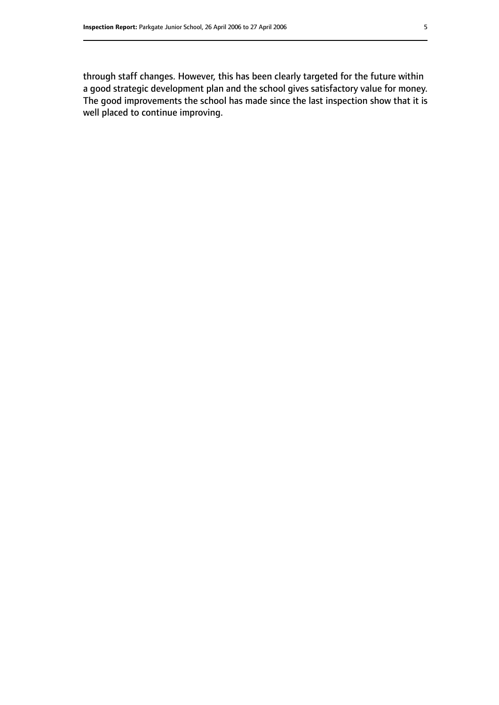through staff changes. However, this has been clearly targeted for the future within a good strategic development plan and the school gives satisfactory value for money. The good improvements the school has made since the last inspection show that it is well placed to continue improving.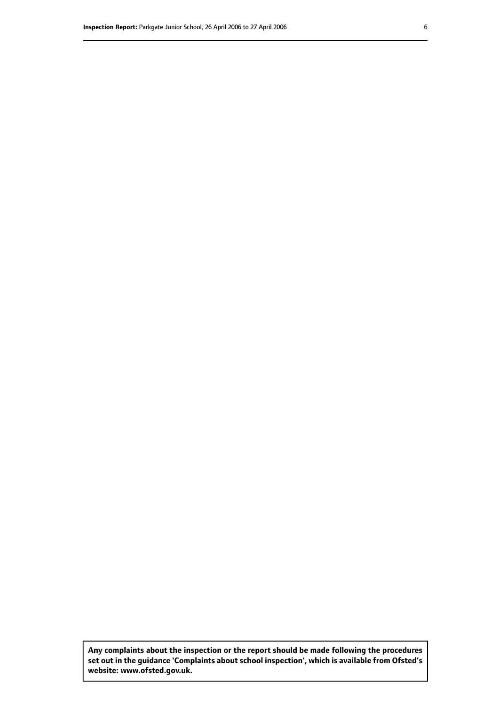**Any complaints about the inspection or the report should be made following the procedures set out inthe guidance 'Complaints about school inspection', whichis available from Ofsted's website: www.ofsted.gov.uk.**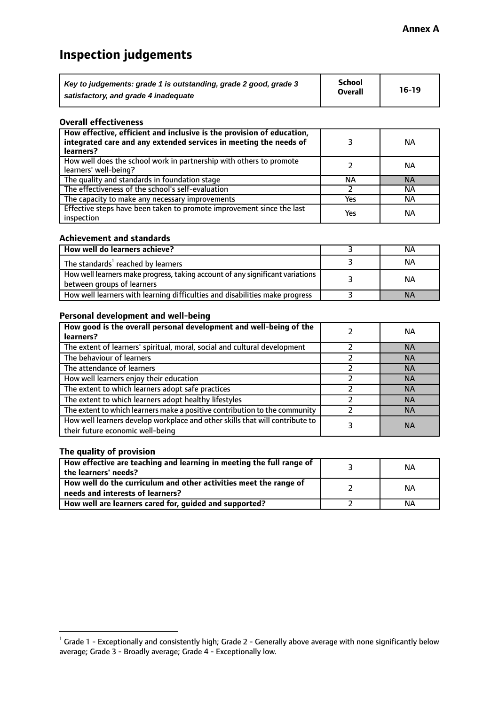# **Inspection judgements**

| Key to judgements: grade 1 is outstanding, grade 2 good, grade 3 | <b>School</b>  | $16-19$ |
|------------------------------------------------------------------|----------------|---------|
| satisfactory, and grade 4 inadequate                             | <b>Overall</b> |         |

#### **Overall effectiveness**

| How effective, efficient and inclusive is the provision of education,<br>integrated care and any extended services in meeting the needs of<br>learners? |     | NА        |
|---------------------------------------------------------------------------------------------------------------------------------------------------------|-----|-----------|
| How well does the school work in partnership with others to promote<br>learners' well-being?                                                            |     | NА        |
| The quality and standards in foundation stage                                                                                                           | ΝA  | <b>NA</b> |
| The effectiveness of the school's self-evaluation                                                                                                       |     | ΝA        |
| The capacity to make any necessary improvements                                                                                                         | Yes | NА        |
| Effective steps have been taken to promote improvement since the last<br>inspection                                                                     | Yes | ΝA        |

#### **Achievement and standards**

| How well do learners achieve?                                                                               | ΝA        |
|-------------------------------------------------------------------------------------------------------------|-----------|
| The standards <sup>1</sup> reached by learners                                                              | NА        |
| How well learners make progress, taking account of any significant variations<br>between groups of learners | <b>NA</b> |
| How well learners with learning difficulties and disabilities make progress                                 | <b>NA</b> |

#### **Personal development and well-being**

| How good is the overall personal development and well-being of the<br>learners?                                  | ΝA        |
|------------------------------------------------------------------------------------------------------------------|-----------|
|                                                                                                                  |           |
| The extent of learners' spiritual, moral, social and cultural development                                        | <b>NA</b> |
| The behaviour of learners                                                                                        | <b>NA</b> |
| The attendance of learners                                                                                       | <b>NA</b> |
| How well learners enjoy their education                                                                          | <b>NA</b> |
| The extent to which learners adopt safe practices                                                                | <b>NA</b> |
| The extent to which learners adopt healthy lifestyles                                                            | <b>NA</b> |
| The extent to which learners make a positive contribution to the community                                       | <b>NA</b> |
| How well learners develop workplace and other skills that will contribute to<br>their future economic well-being | <b>NA</b> |

#### **The quality of provision**

| How effective are teaching and learning in meeting the full range of<br>the learners' needs?          | ΝA |
|-------------------------------------------------------------------------------------------------------|----|
| How well do the curriculum and other activities meet the range of<br>needs and interests of learners? | ΝA |
| How well are learners cared for, guided and supported?                                                | NА |

 $^1$  Grade 1 - Exceptionally and consistently high; Grade 2 - Generally above average with none significantly below average; Grade 3 - Broadly average; Grade 4 - Exceptionally low.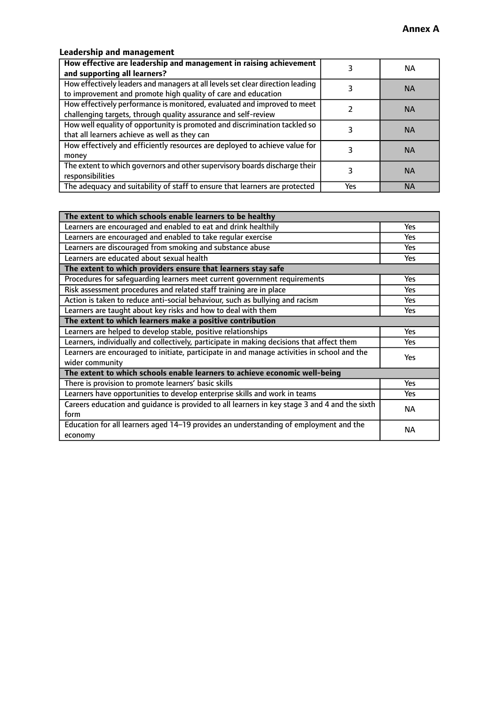#### **Leadership and management**

| How effective are leadership and management in raising achievement<br>and supporting all learners?                                              |     | NA.       |
|-------------------------------------------------------------------------------------------------------------------------------------------------|-----|-----------|
| How effectively leaders and managers at all levels set clear direction leading<br>to improvement and promote high quality of care and education |     | <b>NA</b> |
| How effectively performance is monitored, evaluated and improved to meet<br>challenging targets, through quality assurance and self-review      |     | <b>NA</b> |
| How well equality of opportunity is promoted and discrimination tackled so<br>that all learners achieve as well as they can                     |     | <b>NA</b> |
| How effectively and efficiently resources are deployed to achieve value for<br>money                                                            |     | <b>NA</b> |
| The extent to which governors and other supervisory boards discharge their<br>responsibilities                                                  |     | <b>NA</b> |
| The adequacy and suitability of staff to ensure that learners are protected                                                                     | Yes | <b>NA</b> |

| The extent to which schools enable learners to be healthy                                     |            |
|-----------------------------------------------------------------------------------------------|------------|
| Learners are encouraged and enabled to eat and drink healthily                                | Yes        |
| Learners are encouraged and enabled to take regular exercise                                  | Yes        |
| Learners are discouraged from smoking and substance abuse                                     | <b>Yes</b> |
| Learners are educated about sexual health                                                     | <b>Yes</b> |
| The extent to which providers ensure that learners stay safe                                  |            |
| Procedures for safequarding learners meet current government requirements                     | Yes        |
| Risk assessment procedures and related staff training are in place                            | Yes        |
| Action is taken to reduce anti-social behaviour, such as bullying and racism                  | <b>Yes</b> |
| Learners are taught about key risks and how to deal with them                                 | Yes        |
| The extent to which learners make a positive contribution                                     |            |
| Learners are helped to develop stable, positive relationships                                 | Yes        |
| Learners, individually and collectively, participate in making decisions that affect them     | Yes        |
| Learners are encouraged to initiate, participate in and manage activities in school and the   | <b>Yes</b> |
| wider community                                                                               |            |
| The extent to which schools enable learners to achieve economic well-being                    |            |
| There is provision to promote learners' basic skills                                          | Yes        |
| Learners have opportunities to develop enterprise skills and work in teams                    | Yes        |
| Careers education and quidance is provided to all learners in key stage 3 and 4 and the sixth | <b>NA</b>  |
| form                                                                                          |            |
| Education for all learners aged 14-19 provides an understanding of employment and the         | <b>NA</b>  |
| economy                                                                                       |            |